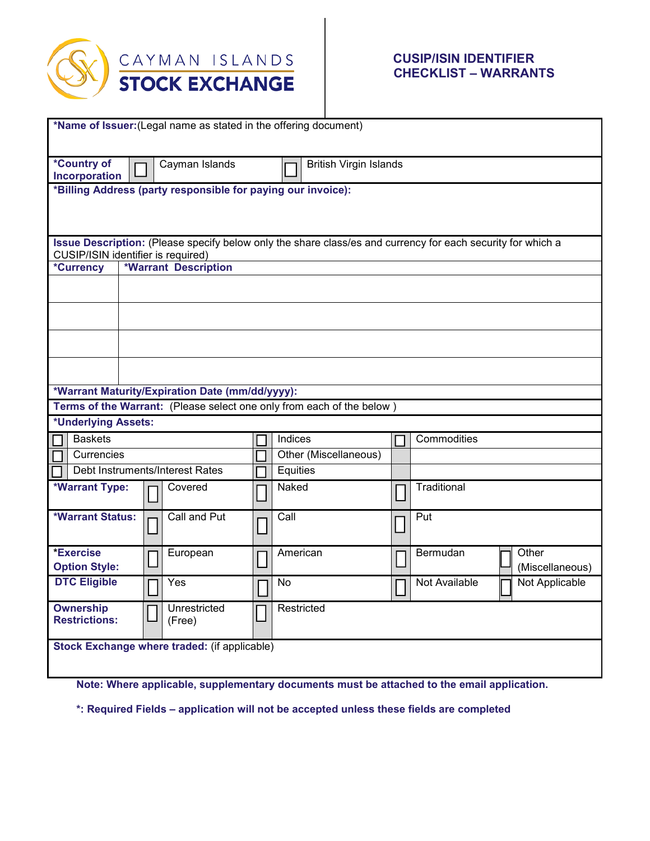

## **CUSIP/ISIN IDENTIFIER CHECKLIST – WARRANTS**

| *Name of Issuer: (Legal name as stated in the offering document)                                                                                  |  |  |                                 |  |                               |  |                                 |  |
|---------------------------------------------------------------------------------------------------------------------------------------------------|--|--|---------------------------------|--|-------------------------------|--|---------------------------------|--|
|                                                                                                                                                   |  |  |                                 |  |                               |  |                                 |  |
| *Country of<br>Cayman Islands<br>Incorporation                                                                                                    |  |  |                                 |  | <b>British Virgin Islands</b> |  |                                 |  |
| *Billing Address (party responsible for paying our invoice):                                                                                      |  |  |                                 |  |                               |  |                                 |  |
|                                                                                                                                                   |  |  |                                 |  |                               |  |                                 |  |
|                                                                                                                                                   |  |  |                                 |  |                               |  |                                 |  |
| Issue Description: (Please specify below only the share class/es and currency for each security for which a<br>CUSIP/ISIN identifier is required) |  |  |                                 |  |                               |  |                                 |  |
| *Currency                                                                                                                                         |  |  | <b>*Warrant Description</b>     |  |                               |  |                                 |  |
|                                                                                                                                                   |  |  |                                 |  |                               |  |                                 |  |
|                                                                                                                                                   |  |  |                                 |  |                               |  |                                 |  |
|                                                                                                                                                   |  |  |                                 |  |                               |  |                                 |  |
|                                                                                                                                                   |  |  |                                 |  |                               |  |                                 |  |
| *Warrant Maturity/Expiration Date (mm/dd/yyyy):                                                                                                   |  |  |                                 |  |                               |  |                                 |  |
| Terms of the Warrant: (Please select one only from each of the below)                                                                             |  |  |                                 |  |                               |  |                                 |  |
| *Underlying Assets:                                                                                                                               |  |  |                                 |  |                               |  |                                 |  |
| <b>Baskets</b>                                                                                                                                    |  |  |                                 |  | Indices                       |  | Commodities                     |  |
| Currencies                                                                                                                                        |  |  |                                 |  | Other (Miscellaneous)         |  |                                 |  |
|                                                                                                                                                   |  |  | Debt Instruments/Interest Rates |  | Equities                      |  |                                 |  |
| *Warrant Type:                                                                                                                                    |  |  | Covered                         |  | Naked                         |  | Traditional                     |  |
| <b>*Warrant Status:</b>                                                                                                                           |  |  | Call and Put                    |  | Call                          |  | Put                             |  |
|                                                                                                                                                   |  |  |                                 |  |                               |  |                                 |  |
| *Exercise                                                                                                                                         |  |  | European                        |  | American                      |  | Other<br>Bermudan               |  |
| <b>Option Style:</b>                                                                                                                              |  |  |                                 |  |                               |  | (Miscellaneous)                 |  |
| <b>DTC Eligible</b>                                                                                                                               |  |  | Yes                             |  | No                            |  | Not Available<br>Not Applicable |  |
| <b>Ownership</b><br><b>Restrictions:</b>                                                                                                          |  |  | Unrestricted                    |  | Restricted                    |  |                                 |  |
|                                                                                                                                                   |  |  | (Free)                          |  |                               |  |                                 |  |
| Stock Exchange where traded: (if applicable)                                                                                                      |  |  |                                 |  |                               |  |                                 |  |
|                                                                                                                                                   |  |  |                                 |  |                               |  |                                 |  |
|                                                                                                                                                   |  |  |                                 |  |                               |  |                                 |  |

**Note: Where applicable, supplementary documents must be attached to the email application.**

**\*: Required Fields – application will not be accepted unless these fields are completed**